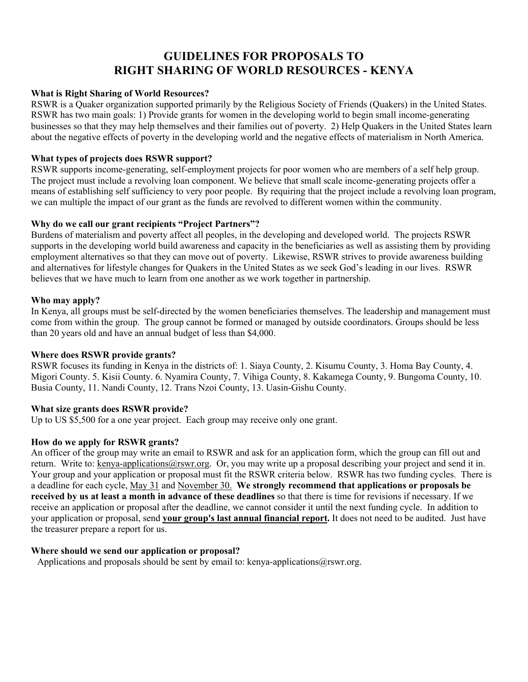# **GUIDELINES FOR PROPOSALS TO RIGHT SHARING OF WORLD RESOURCES - KENYA**

#### **What is Right Sharing of World Resources?**

RSWR is a Quaker organization supported primarily by the Religious Society of Friends (Quakers) in the United States. RSWR has two main goals: 1) Provide grants for women in the developing world to begin small income-generating businesses so that they may help themselves and their families out of poverty. 2) Help Quakers in the United States learn about the negative effects of poverty in the developing world and the negative effects of materialism in North America.

#### **What types of projects does RSWR support?**

RSWR supports income-generating, self-employment projects for poor women who are members of a self help group. The project must include a revolving loan component. We believe that small scale income-generating projects offer a means of establishing self sufficiency to very poor people. By requiring that the project include a revolving loan program, we can multiple the impact of our grant as the funds are revolved to different women within the community.

#### **Why do we call our grant recipients "Project Partners"?**

Burdens of materialism and poverty affect all peoples, in the developing and developed world. The projects RSWR supports in the developing world build awareness and capacity in the beneficiaries as well as assisting them by providing employment alternatives so that they can move out of poverty. Likewise, RSWR strives to provide awareness building and alternatives for lifestyle changes for Quakers in the United States as we seek God's leading in our lives. RSWR believes that we have much to learn from one another as we work together in partnership.

#### **Who may apply?**

In Kenya, all groups must be self-directed by the women beneficiaries themselves. The leadership and management must come from within the group. The group cannot be formed or managed by outside coordinators. Groups should be less than 20 years old and have an annual budget of less than \$4,000.

#### **Where does RSWR provide grants?**

RSWR focuses its funding in Kenya in the districts of: 1. Siaya County, 2. Kisumu County, 3. Homa Bay County, 4. Migori County. 5. Kisii County. 6. Nyamira County, 7. Vihiga County, 8. Kakamega County, 9. Bungoma County, 10. Busia County, 11. Nandi County, 12. Trans Nzoi County, 13. Uasin-Gishu County.

### **What size grants does RSWR provide?**

Up to US \$5,500 for a one year project. Each group may receive only one grant.

#### **How do we apply for RSWR grants?**

An officer of the group may write an email to RSWR and ask for an application form, which the group can fill out and return. Write to: kenya-applications@rswr.org. Or, you may write up a proposal describing your project and send it in. Your group and your application or proposal must fit the RSWR criteria below. RSWR has two funding cycles. There is a deadline for each cycle, May 31 and November 30. **We strongly recommend that applications or proposals be received by us at least a month in advance of these deadlines** so that there is time for revisions if necessary. If we receive an application or proposal after the deadline, we cannot consider it until the next funding cycle. In addition to your application or proposal, send **your group's last annual financial report.** It does not need to be audited. Just have the treasurer prepare a report for us.

#### **Where should we send our application or proposal?**

Applications and proposals should be sent by email to: kenya-applications@rswr.org.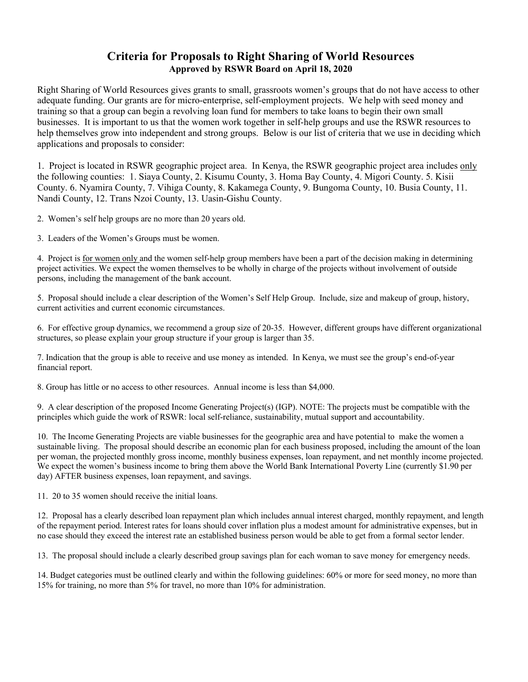## **Criteria for Proposals to Right Sharing of World Resources Approved by RSWR Board on April 18, 2020**

Right Sharing of World Resources gives grants to small, grassroots women's groups that do not have access to other adequate funding. Our grants are for micro-enterprise, self-employment projects. We help with seed money and training so that a group can begin a revolving loan fund for members to take loans to begin their own small businesses. It is important to us that the women work together in self-help groups and use the RSWR resources to help themselves grow into independent and strong groups. Below is our list of criteria that we use in deciding which applications and proposals to consider:

1. Project is located in RSWR geographic project area. In Kenya, the RSWR geographic project area includes only the following counties: 1. Siaya County, 2. Kisumu County, 3. Homa Bay County, 4. Migori County. 5. Kisii County. 6. Nyamira County, 7. Vihiga County, 8. Kakamega County, 9. Bungoma County, 10. Busia County, 11. Nandi County, 12. Trans Nzoi County, 13. Uasin-Gishu County.

2. Women's self help groups are no more than 20 years old.

3. Leaders of the Women's Groups must be women.

4. Project is for women only and the women self-help group members have been a part of the decision making in determining project activities. We expect the women themselves to be wholly in charge of the projects without involvement of outside persons, including the management of the bank account.

5. Proposal should include a clear description of the Women's Self Help Group. Include, size and makeup of group, history, current activities and current economic circumstances.

6. For effective group dynamics, we recommend a group size of 20-35. However, different groups have different organizational structures, so please explain your group structure if your group is larger than 35.

7. Indication that the group is able to receive and use money as intended. In Kenya, we must see the group's end-of-year financial report.

8. Group has little or no access to other resources. Annual income is less than \$4,000.

9. A clear description of the proposed Income Generating Project(s) (IGP). NOTE: The projects must be compatible with the principles which guide the work of RSWR: local self-reliance, sustainability, mutual support and accountability.

10. The Income Generating Projects are viable businesses for the geographic area and have potential to make the women a sustainable living. The proposal should describe an economic plan for each business proposed, including the amount of the loan per woman, the projected monthly gross income, monthly business expenses, loan repayment, and net monthly income projected. We expect the women's business income to bring them above the World Bank International Poverty Line (currently \$1.90 per day) AFTER business expenses, loan repayment, and savings.

11. 20 to 35 women should receive the initial loans.

12. Proposal has a clearly described loan repayment plan which includes annual interest charged, monthly repayment, and length of the repayment period. Interest rates for loans should cover inflation plus a modest amount for administrative expenses, but in no case should they exceed the interest rate an established business person would be able to get from a formal sector lender.

13. The proposal should include a clearly described group savings plan for each woman to save money for emergency needs.

14. Budget categories must be outlined clearly and within the following guidelines: 60% or more for seed money, no more than 15% for training, no more than 5% for travel, no more than 10% for administration.